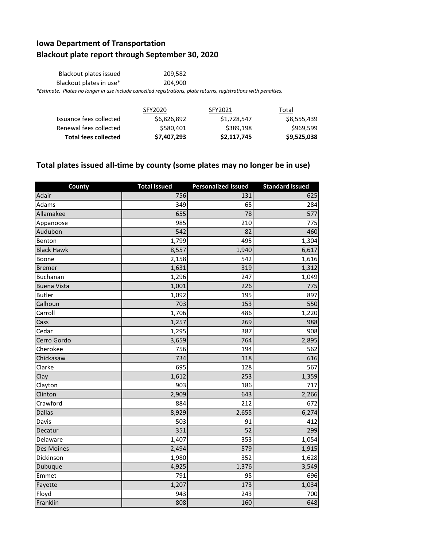## **Iowa Department of Transportation Blackout plate report through September 30, 2020**

| Blackout plates issued                                                                                           | 209.582 |  |  |
|------------------------------------------------------------------------------------------------------------------|---------|--|--|
| Blackout plates in use*                                                                                          | 204.900 |  |  |
| *Estimate. Plates no longer in use include cancelled registrations, plate returns, registrations with penalties. |         |  |  |

|                             | SFY2020     | SFY2021     | Total       |
|-----------------------------|-------------|-------------|-------------|
| Issuance fees collected     | \$6,826,892 | \$1,728,547 | \$8,555,439 |
| Renewal fees collected      | \$580,401   | \$389,198   | \$969,599   |
| <b>Total fees collected</b> | \$7,407,293 | \$2,117,745 | \$9,525,038 |

## **Total plates issued all-time by county (some plates may no longer be in use)**

| County             | <b>Total Issued</b> | <b>Personalized Issued</b> | <b>Standard Issued</b> |
|--------------------|---------------------|----------------------------|------------------------|
| Adair              | 756                 | 131                        | 625                    |
| Adams              | 349                 | 65                         | 284                    |
| Allamakee          | 655                 | 78                         | 577                    |
| Appanoose          | 985                 | 210                        | 775                    |
| Audubon            | 542                 | 82                         | 460                    |
| Benton             | 1,799               | 495                        | 1,304                  |
| <b>Black Hawk</b>  | 8,557               | 1,940                      | 6,617                  |
| Boone              | 2,158               | 542                        | 1,616                  |
| <b>Bremer</b>      | 1,631               | 319                        | 1,312                  |
| Buchanan           | 1,296               | 247                        | 1,049                  |
| <b>Buena Vista</b> | 1,001               | 226                        | 775                    |
| <b>Butler</b>      | 1,092               | 195                        | 897                    |
| Calhoun            | 703                 | 153                        | 550                    |
| Carroll            | 1,706               | 486                        | 1,220                  |
| Cass               | 1,257               | 269                        | 988                    |
| Cedar              | 1,295               | 387                        | 908                    |
| Cerro Gordo        | 3,659               | 764                        | 2,895                  |
| Cherokee           | 756                 | 194                        | 562                    |
| Chickasaw          | 734                 | 118                        | 616                    |
| Clarke             | 695                 | 128                        | 567                    |
| Clay               | 1,612               | 253                        | 1,359                  |
| Clayton            | 903                 | 186                        | 717                    |
| Clinton            | 2,909               | 643                        | 2,266                  |
| Crawford           | 884                 | 212                        | 672                    |
| <b>Dallas</b>      | 8,929               | 2,655                      | 6,274                  |
| Davis              | 503                 | 91                         | 412                    |
| Decatur            | 351                 | 52                         | 299                    |
| Delaware           | 1,407               | 353                        | 1,054                  |
| <b>Des Moines</b>  | 2,494               | 579                        | 1,915                  |
| Dickinson          | 1,980               | 352                        | 1,628                  |
| Dubuque            | 4,925               | 1,376                      | 3,549                  |
| Emmet              | 791                 | 95                         | 696                    |
| Fayette            | 1,207               | 173                        | 1,034                  |
| Floyd              | 943                 | 243                        | 700                    |
| Franklin           | 808                 | 160                        | 648                    |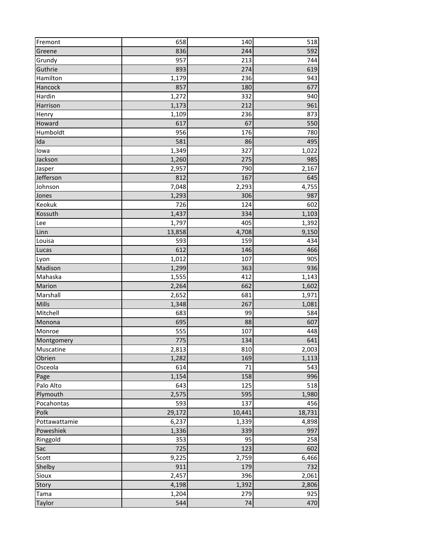| Fremont       | 658    | 140    | 518    |
|---------------|--------|--------|--------|
| Greene        | 836    | 244    | 592    |
| Grundy        | 957    | 213    | 744    |
| Guthrie       | 893    | 274    | 619    |
| Hamilton      | 1,179  | 236    | 943    |
| Hancock       | 857    | 180    | 677    |
| Hardin        | 1,272  | 332    | 940    |
| Harrison      | 1,173  | 212    | 961    |
| Henry         | 1,109  | 236    | 873    |
| Howard        | 617    | 67     | 550    |
| Humboldt      | 956    | 176    | 780    |
| Ida           | 581    | 86     | 495    |
| lowa          | 1,349  | 327    | 1,022  |
| Jackson       | 1,260  | 275    | 985    |
| Jasper        | 2,957  | 790    | 2,167  |
| Jefferson     | 812    | 167    | 645    |
| Johnson       | 7,048  | 2,293  | 4,755  |
| Jones         | 1,293  | 306    | 987    |
| Keokuk        | 726    | 124    | 602    |
| Kossuth       | 1,437  | 334    | 1,103  |
| Lee           | 1,797  | 405    | 1,392  |
| Linn          | 13,858 | 4,708  | 9,150  |
| Louisa        | 593    | 159    | 434    |
| Lucas         | 612    | 146    | 466    |
| Lyon          | 1,012  | 107    | 905    |
| Madison       | 1,299  | 363    | 936    |
| Mahaska       | 1,555  | 412    | 1,143  |
| Marion        | 2,264  | 662    | 1,602  |
| Marshall      | 2,652  | 681    | 1,971  |
| Mills         | 1,348  | 267    | 1,081  |
| Mitchell      | 683    | 99     | 584    |
| Monona        | 695    | 88     | 607    |
| Monroe        | 555    | 107    | 448    |
| Montgomery    | 775    | 134    | 641    |
| Muscatine     | 2,813  | 810    | 2,003  |
| Obrien        | 1,282  | 169    | 1,113  |
| Osceola       | 614    | 71     | 543    |
| Page          | 1,154  | 158    | 996    |
| Palo Alto     | 643    | 125    | 518    |
| Plymouth      | 2,575  | 595    | 1,980  |
| Pocahontas    | 593    | 137    | 456    |
| Polk          | 29,172 | 10,441 | 18,731 |
| Pottawattamie | 6,237  | 1,339  | 4,898  |
| Poweshiek     | 1,336  | 339    | 997    |
| Ringgold      | 353    | 95     | 258    |
| Sac           | 725    | 123    | 602    |
| Scott         | 9,225  | 2,759  | 6,466  |
| Shelby        | 911    | 179    | 732    |
| Sioux         | 2,457  | 396    | 2,061  |
| Story         | 4,198  | 1,392  | 2,806  |
| Tama          | 1,204  | 279    | 925    |
| Taylor        | 544    | 74     | 470    |